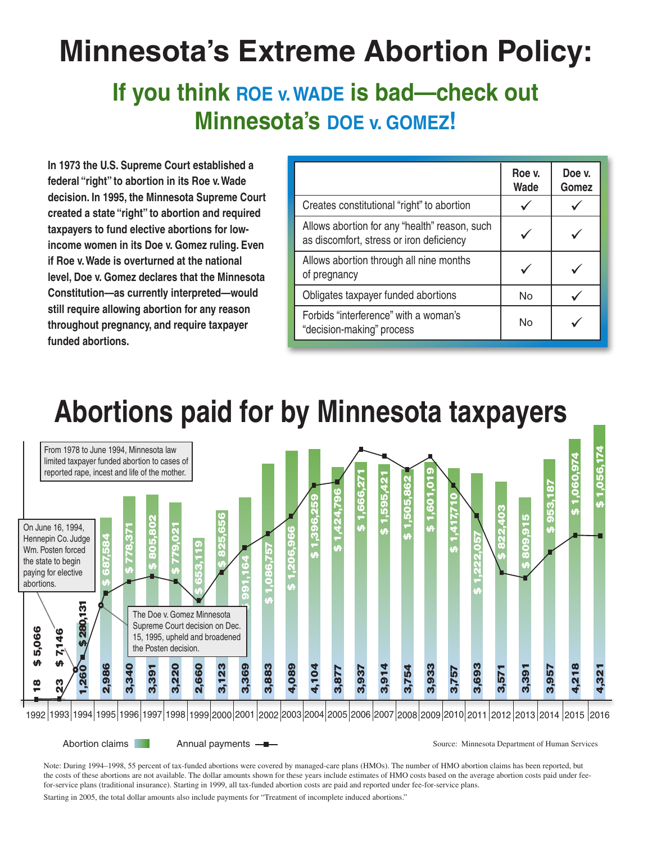# **Minnesota's Extreme Abortion Policy:**

## If you think ROE v. WADE is bad—check out **Minnesota's Doe v. Gomez!**

**In 1973 the U.S. Supreme Court established a federal "right" to abortion in its Roe v. Wade decision. In 1995, the Minnesota Supreme Court created a state "right" to abortion and required taxpayers to fund elective abortions for lowincome women in its Doe v. Gomez ruling. Even if Roe v. Wade is overturned at the national level, Doe v. Gomez declares that the Minnesota Constitution—as currently interpreted—would still require allowing abortion for any reason throughout pregnancy, and require taxpayer funded abortions.**

|                                                                                           | Roe v.<br>Wade | Doe v.<br>Gomez |
|-------------------------------------------------------------------------------------------|----------------|-----------------|
| Creates constitutional "right" to abortion                                                |                |                 |
| Allows abortion for any "health" reason, such<br>as discomfort, stress or iron deficiency |                |                 |
| Allows abortion through all nine months<br>of pregnancy                                   |                |                 |
| Obligates taxpayer funded abortions                                                       | No             |                 |
| Forbids "interference" with a woman's<br>"decision-making" process                        | No             |                 |

# **Abortions paid for by Minnesota taxpayers**



Abortion claims **Annual payments - Second Communist Communist Communist Communist Communist Communist Communist Communist Communist Communist Communist Communist Communist Communist Communist Communist Communist Communist** 

Note: During 1994–1998, 55 percent of tax-funded abortions were covered by managed-care plans (HMOs). The number of HMO abortion claims has been reported, but the costs of these abortions are not available. The dollar amounts shown for these years include estimates of HMO costs based on the average abortion costs paid under feefor-service plans (traditional insurance). Starting in 1999, all tax-funded abortion costs are paid and reported under fee-for-service plans.

Starting in 2005, the total dollar amounts also include payments for "Treatment of incomplete induced abortions."